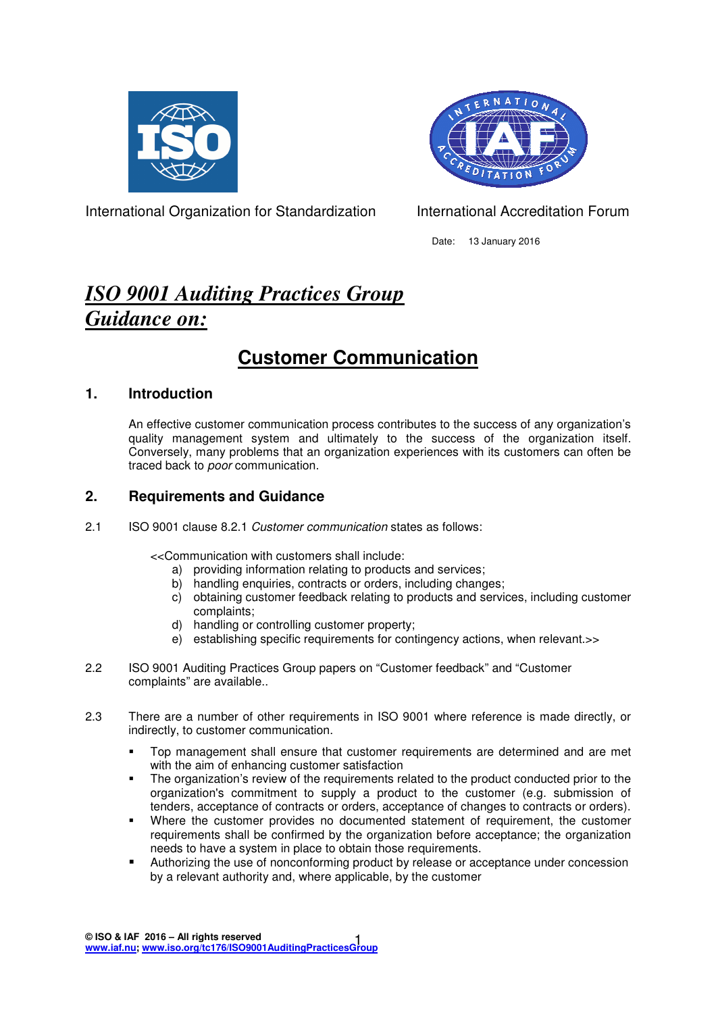



International Organization for Standardization **International Accreditation Forum** 

Date: 13 January 2016

# *ISO 9001 Auditing Practices Group Guidance on:*

# **Customer Communication**

# **1. Introduction**

An effective customer communication process contributes to the success of any organization's quality management system and ultimately to the success of the organization itself. Conversely, many problems that an organization experiences with its customers can often be traced back to poor communication.

# **2. Requirements and Guidance**

2.1 ISO 9001 clause 8.2.1 Customer communication states as follows:

<<Communication with customers shall include:

- a) providing information relating to products and services;
- b) handling enquiries, contracts or orders, including changes;
- c) obtaining customer feedback relating to products and services, including customer complaints;
- d) handling or controlling customer property;
- e) establishing specific requirements for contingency actions, when relevant.>>
- 2.2 ISO 9001 Auditing Practices Group papers on "Customer feedback" and "Customer complaints" are available..
- 2.3 There are a number of other requirements in ISO 9001 where reference is made directly, or indirectly, to customer communication.
	- Top management shall ensure that customer requirements are determined and are met with the aim of enhancing customer satisfaction
	- The organization's review of the requirements related to the product conducted prior to the organization's commitment to supply a product to the customer (e.g. submission of tenders, acceptance of contracts or orders, acceptance of changes to contracts or orders).
	- Where the customer provides no documented statement of requirement, the customer requirements shall be confirmed by the organization before acceptance; the organization needs to have a system in place to obtain those requirements.
	- Authorizing the use of nonconforming product by release or acceptance under concession by a relevant authority and, where applicable, by the customer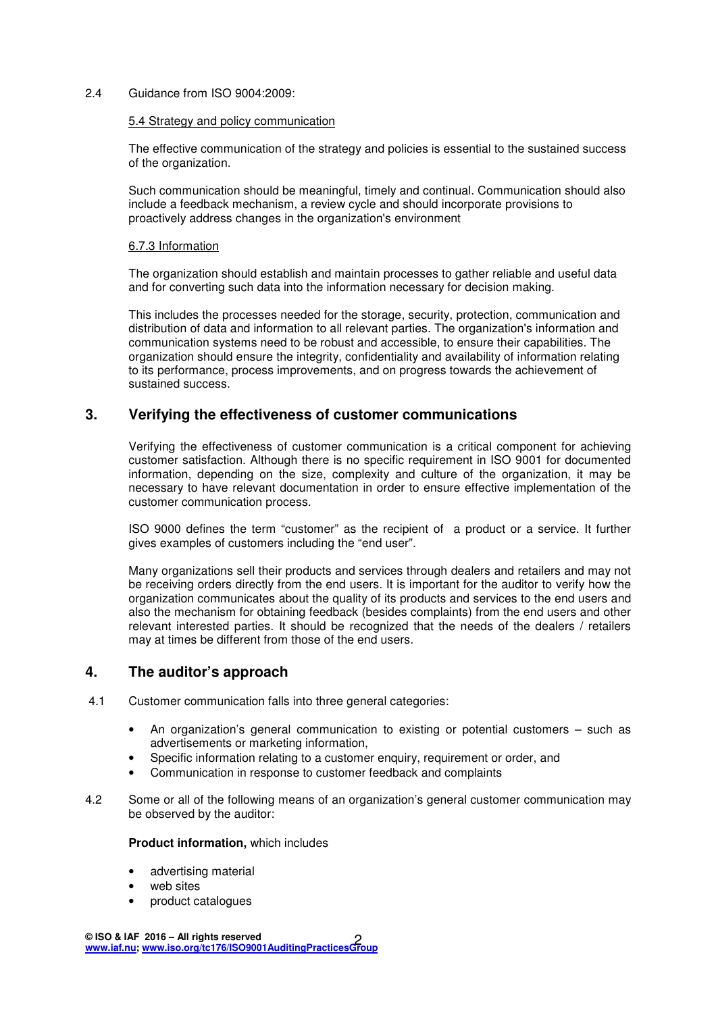2.4 Guidance from ISO 9004:2009:

#### 5.4 Strategy and policy communication

The effective communication of the strategy and policies is essential to the sustained success of the organization.

Such communication should be meaningful, timely and continual. Communication should also include a feedback mechanism, a review cycle and should incorporate provisions to proactively address changes in the organization's environment

#### 6.7.3 Information

The organization should establish and maintain processes to gather reliable and useful data and for converting such data into the information necessary for decision making.

This includes the processes needed for the storage, security, protection, communication and distribution of data and information to all relevant parties. The organization's information and communication systems need to be robust and accessible, to ensure their capabilities. The organization should ensure the integrity, confidentiality and availability of information relating to its performance, process improvements, and on progress towards the achievement of sustained success.

## **3. Verifying the effectiveness of customer communications**

Verifying the effectiveness of customer communication is a critical component for achieving customer satisfaction. Although there is no specific requirement in ISO 9001 for documented information, depending on the size, complexity and culture of the organization, it may be necessary to have relevant documentation in order to ensure effective implementation of the customer communication process.

ISO 9000 defines the term "customer" as the recipient of a product or a service. It further gives examples of customers including the "end user".

Many organizations sell their products and services through dealers and retailers and may not be receiving orders directly from the end users. It is important for the auditor to verify how the organization communicates about the quality of its products and services to the end users and also the mechanism for obtaining feedback (besides complaints) from the end users and other relevant interested parties. It should be recognized that the needs of the dealers / retailers may at times be different from those of the end users.

### **4. The auditor's approach**

- 4.1 Customer communication falls into three general categories:
	- An organization's general communication to existing or potential customers  $-$  such as advertisements or marketing information,
	- Specific information relating to a customer enquiry, requirement or order, and
	- Communication in response to customer feedback and complaints
- 4.2 Some or all of the following means of an organization's general customer communication may be observed by the auditor:

#### **Product information,** which includes

- advertising material
- web sites
- product catalogues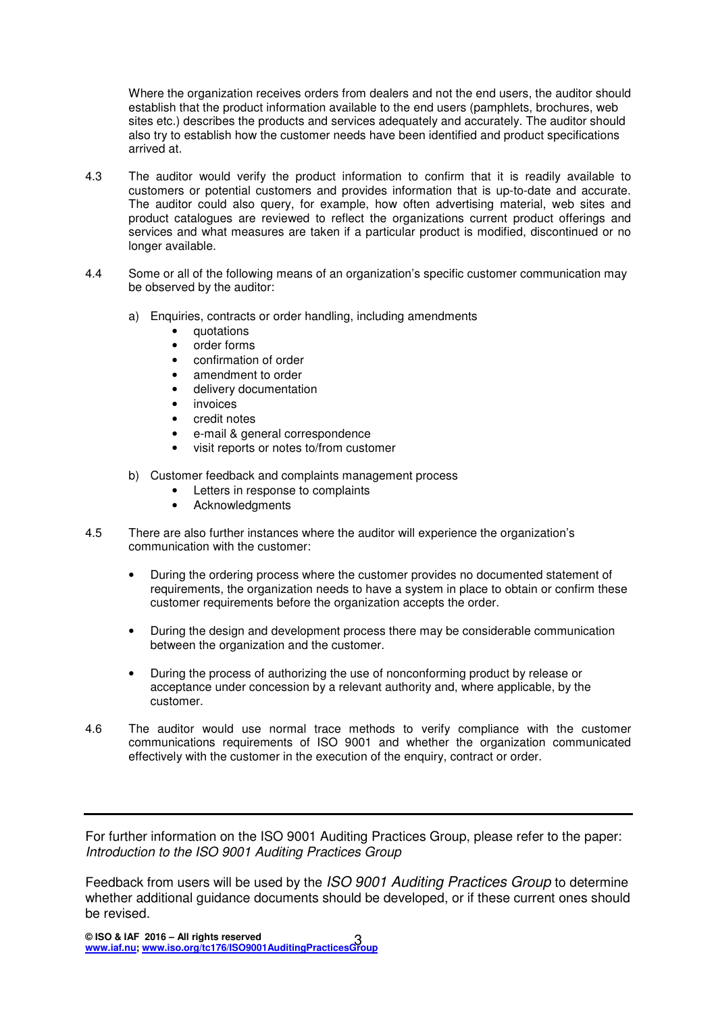Where the organization receives orders from dealers and not the end users, the auditor should establish that the product information available to the end users (pamphlets, brochures, web sites etc.) describes the products and services adequately and accurately. The auditor should also try to establish how the customer needs have been identified and product specifications arrived at.

- 4.3 The auditor would verify the product information to confirm that it is readily available to customers or potential customers and provides information that is up-to-date and accurate. The auditor could also query, for example, how often advertising material, web sites and product catalogues are reviewed to reflect the organizations current product offerings and services and what measures are taken if a particular product is modified, discontinued or no longer available.
- 4.4 Some or all of the following means of an organization's specific customer communication may be observed by the auditor:
	- a) Enquiries, contracts or order handling, including amendments
		- quotations
		- order forms
		- confirmation of order
		- amendment to order
		- delivery documentation
		- invoices
		- credit notes
		- e-mail & general correspondence
		- visit reports or notes to/from customer
	- b) Customer feedback and complaints management process
		- Letters in response to complaints
		- Acknowledgments
- 4.5 There are also further instances where the auditor will experience the organization's communication with the customer:
	- During the ordering process where the customer provides no documented statement of requirements, the organization needs to have a system in place to obtain or confirm these customer requirements before the organization accepts the order.
	- During the design and development process there may be considerable communication between the organization and the customer.
	- During the process of authorizing the use of nonconforming product by release or acceptance under concession by a relevant authority and, where applicable, by the customer.
- 4.6 The auditor would use normal trace methods to verify compliance with the customer communications requirements of ISO 9001 and whether the organization communicated effectively with the customer in the execution of the enquiry, contract or order.

For further information on the ISO 9001 Auditing Practices Group, please refer to the paper: Introduction to the ISO 9001 Auditing Practices Group

Feedback from users will be used by the ISO 9001 Auditing Practices Group to determine whether additional guidance documents should be developed, or if these current ones should be revised.

**© ISO & IAF 2016 – All rights reserved www.iaf.nu; www.iso.org/tc176/ISO9001AuditingPracticesGroup** 3